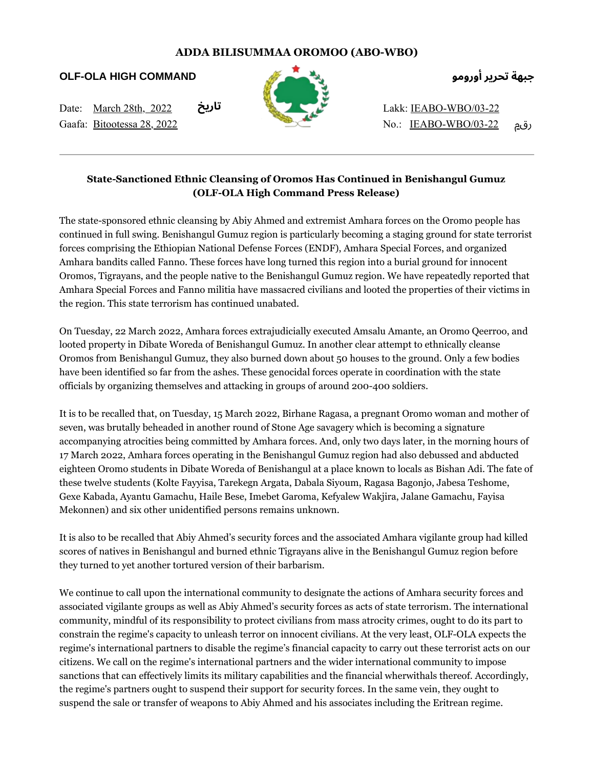## **ADDA BILISUMMAA OROMOO (ABO-WBO)**

**OLF-OLA HIGH COMMAND**

Date: March 28th, 2022 Gaafa: Bitootessa 28, 2022 **تاريخ**



**جبهة تحرير أورومو**

Lakk: IEABO-WBO/03-22 No.: IEABO-WBO/03-22 رقم

## **State-Sanctioned Ethnic Cleansing of Oromos Has Continued in Benishangul Gumuz (OLF-OLA High Command Press Release)**

The state-sponsored ethnic cleansing by Abiy Ahmed and extremist Amhara forces on the Oromo people has continued in full swing. Benishangul Gumuz region is particularly becoming a staging ground for state terrorist forces comprising the Ethiopian National Defense Forces (ENDF), Amhara Special Forces, and organized Amhara bandits called Fanno. These forces have long turned this region into a burial ground for innocent Oromos, Tigrayans, and the people native to the Benishangul Gumuz region. We have repeatedly reported that Amhara Special Forces and Fanno militia have massacred civilians and looted the properties of their victims in the region. This state terrorism has continued unabated.

On Tuesday, 22 March 2022, Amhara forces extrajudicially executed Amsalu Amante, an Oromo Qeerroo, and looted property in Dibate Woreda of Benishangul Gumuz. In another clear attempt to ethnically cleanse Oromos from Benishangul Gumuz, they also burned down about 50 houses to the ground. Only a few bodies have been identified so far from the ashes. These genocidal forces operate in coordination with the state officials by organizing themselves and attacking in groups of around 200-400 soldiers.

It is to be recalled that, on Tuesday, 15 March 2022, Birhane Ragasa, a pregnant Oromo woman and mother of seven, was brutally beheaded in another round of Stone Age savagery which is becoming a signature accompanying atrocities being committed by Amhara forces. And, only two days later, in the morning hours of 17 March 2022, Amhara forces operating in the Benishangul Gumuz region had also debussed and abducted eighteen Oromo students in Dibate Woreda of Benishangul at a place known to locals as Bishan Adi. The fate of these twelve students (Kolte Fayyisa, Tarekegn Argata, Dabala Siyoum, Ragasa Bagonjo, Jabesa Teshome, Gexe Kabada, Ayantu Gamachu, Haile Bese, Imebet Garoma, Kefyalew Wakjira, Jalane Gamachu, Fayisa Mekonnen) and six other unidentified persons remains unknown.

It is also to be recalled that Abiy Ahmed's security forces and the associated Amhara vigilante group had killed scores of natives in Benishangul and burned ethnic Tigrayans alive in the Benishangul Gumuz region before they turned to yet another tortured version of their barbarism.

We continue to call upon the international community to designate the actions of Amhara security forces and associated vigilante groups as well as Abiy Ahmed's security forces as acts of state terrorism. The international community, mindful of its responsibility to protect civilians from mass atrocity crimes, ought to do its part to constrain the regime's capacity to unleash terror on innocent civilians. At the very least, OLF-OLA expects the regime's international partners to disable the regime's financial capacity to carry out these terrorist acts on our citizens. We call on the regime's international partners and the wider international community to impose sanctions that can effectively limits its military capabilities and the financial wherwithals thereof. Accordingly, the regime's partners ought to suspend their support for security forces. In the same vein, they ought to suspend the sale or transfer of weapons to Abiy Ahmed and his associates including the Eritrean regime.